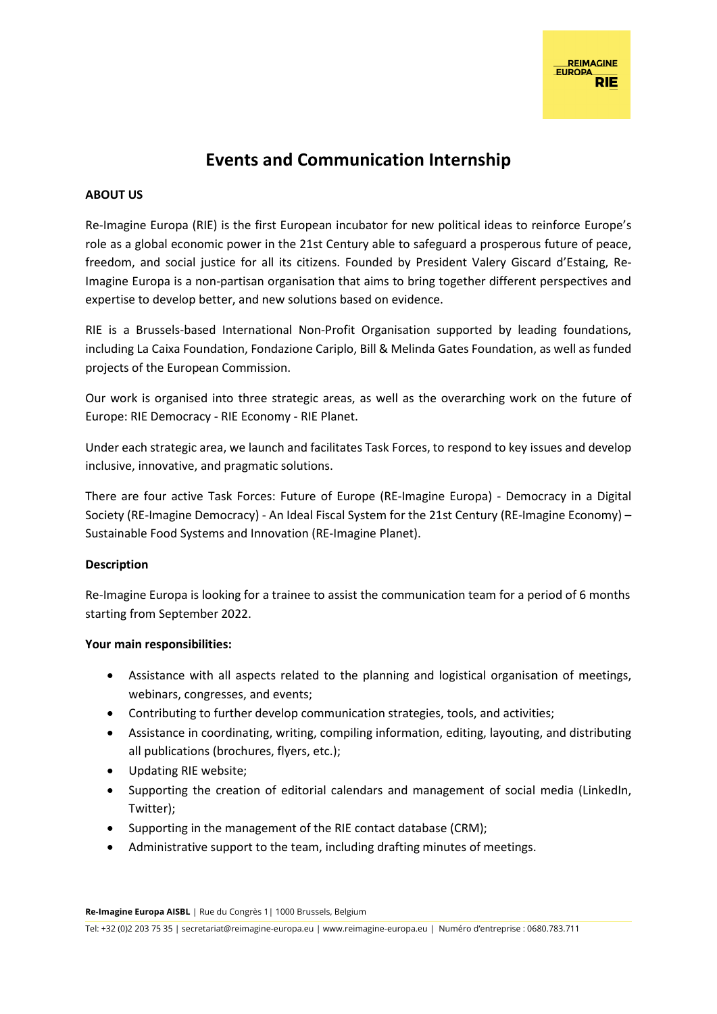# **Events and Communication Internship**

## **ABOUT US**

Re-Imagine Europa (RIE) is the first European incubator for new political ideas to reinforce Europe's role as a global economic power in the 21st Century able to safeguard a prosperous future of peace, freedom, and social justice for all its citizens. Founded by President Valery Giscard d'Estaing, Re-Imagine Europa is a non-partisan organisation that aims to bring together different perspectives and expertise to develop better, and new solutions based on evidence.

RIE is a Brussels-based International Non-Profit Organisation supported by leading foundations, including La Caixa Foundation, Fondazione Cariplo, Bill & Melinda Gates Foundation, as well as funded projects of the European Commission.

Our work is organised into three strategic areas, as well as the overarching work on the future of Europe: RIE Democracy - RIE Economy - RIE Planet.

Under each strategic area, we launch and facilitates Task Forces, to respond to key issues and develop inclusive, innovative, and pragmatic solutions.

There are four active Task Forces: Future of Europe (RE-Imagine Europa) - Democracy in a Digital Society (RE-Imagine Democracy) - An Ideal Fiscal System for the 21st Century (RE-Imagine Economy) – Sustainable Food Systems and Innovation (RE-Imagine Planet).

## **Description**

Re-Imagine Europa is looking for a trainee to assist the communication team for a period of 6 months starting from September 2022.

## **Your main responsibilities:**

- Assistance with all aspects related to the planning and logistical organisation of meetings, webinars, congresses, and events;
- Contributing to further develop communication strategies, tools, and activities;
- Assistance in coordinating, writing, compiling information, editing, layouting, and distributing all publications (brochures, flyers, etc.);
- Updating RIE website;
- Supporting the creation of editorial calendars and management of social media (LinkedIn, Twitter);
- Supporting in the management of the RIE contact database (CRM);
- Administrative support to the team, including drafting minutes of meetings.

**Re-Imagine Europa AISBL** | Rue du Congrès 1| 1000 Brussels, Belgium

Tel: +32 (0)2 203 75 35 | secretariat@reimagine-europa.eu | www.reimagine-europa.eu | Numéro d'entreprise : 0680.783.711